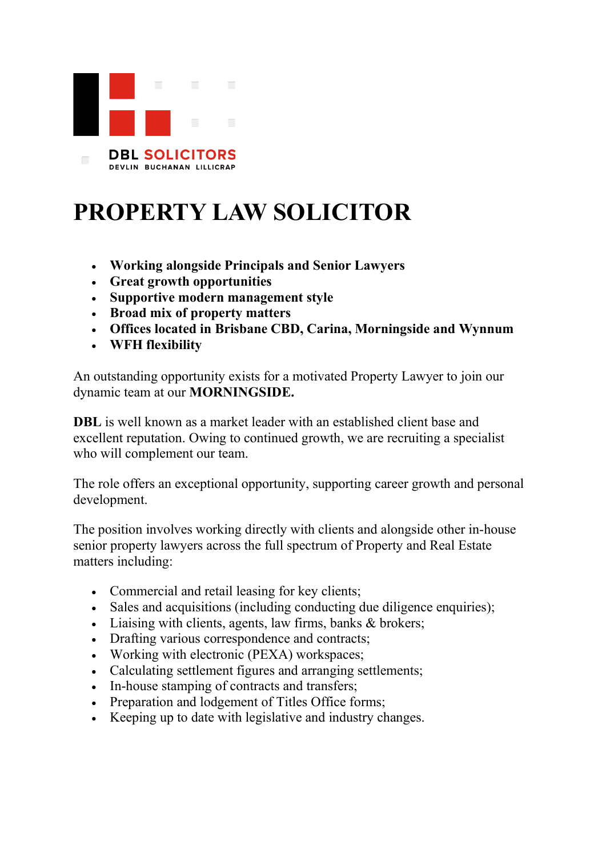

## **PROPERTY LAW SOLICITOR**

- **Working alongside Principals and Senior Lawyers**
- **Great growth opportunities**
- **Supportive modern management style**
- **Broad mix of property matters**
- **Offices located in Brisbane CBD, Carina, Morningside and Wynnum**
- **WFH flexibility**

An outstanding opportunity exists for a motivated Property Lawyer to join our dynamic team at our **MORNINGSIDE.**

**DBL** is well known as a market leader with an established client base and excellent reputation. Owing to continued growth, we are recruiting a specialist who will complement our team.

The role offers an exceptional opportunity, supporting career growth and personal development.

The position involves working directly with clients and alongside other in-house senior property lawyers across the full spectrum of Property and Real Estate matters including:

- Commercial and retail leasing for key clients;
- Sales and acquisitions (including conducting due diligence enquiries);
- Liaising with clients, agents, law firms, banks & brokers;
- Drafting various correspondence and contracts;
- Working with electronic (PEXA) workspaces;
- Calculating settlement figures and arranging settlements;
- In-house stamping of contracts and transfers;
- Preparation and lodgement of Titles Office forms;
- Keeping up to date with legislative and industry changes.